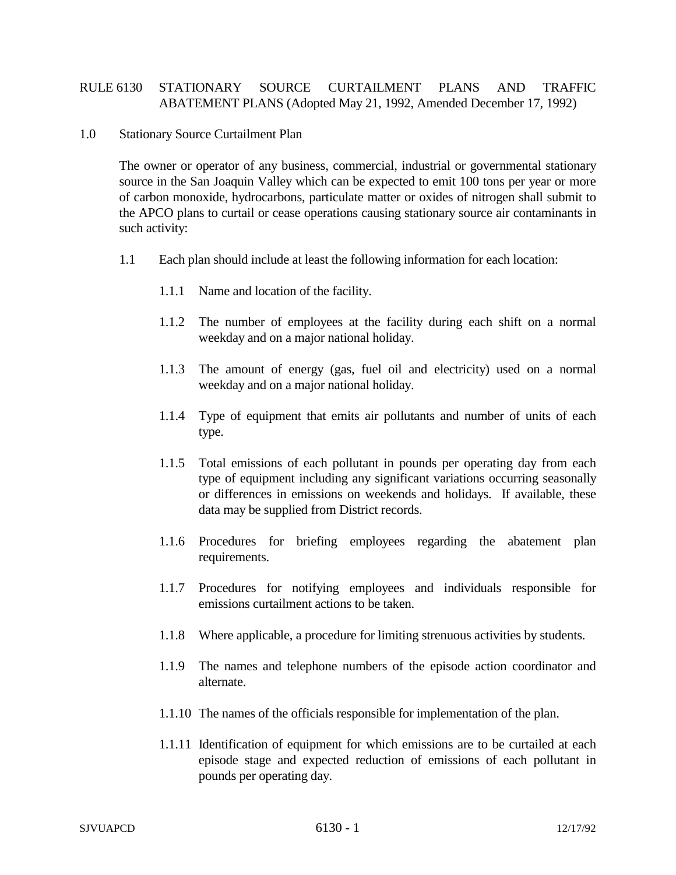## RULE 6130 STATIONARY SOURCE CURTAILMENT PLANS AND TRAFFIC ABATEMENT PLANS (Adopted May 21, 1992, Amended December 17, 1992)

## 1.0 Stationary Source Curtailment Plan

The owner or operator of any business, commercial, industrial or governmental stationary source in the San Joaquin Valley which can be expected to emit 100 tons per year or more of carbon monoxide, hydrocarbons, particulate matter or oxides of nitrogen shall submit to the APCO plans to curtail or cease operations causing stationary source air contaminants in such activity:

- 1.1 Each plan should include at least the following information for each location:
	- 1.1.1 Name and location of the facility.
	- 1.1.2 The number of employees at the facility during each shift on a normal weekday and on a major national holiday.
	- 1.1.3 The amount of energy (gas, fuel oil and electricity) used on a normal weekday and on a major national holiday.
	- 1.1.4 Type of equipment that emits air pollutants and number of units of each type.
	- 1.1.5 Total emissions of each pollutant in pounds per operating day from each type of equipment including any significant variations occurring seasonally or differences in emissions on weekends and holidays. If available, these data may be supplied from District records.
	- 1.1.6 Procedures for briefing employees regarding the abatement plan requirements.
	- 1.1.7 Procedures for notifying employees and individuals responsible for emissions curtailment actions to be taken.
	- 1.1.8 Where applicable, a procedure for limiting strenuous activities by students.
	- 1.1.9 The names and telephone numbers of the episode action coordinator and alternate.
	- 1.1.10 The names of the officials responsible for implementation of the plan.
	- 1.1.11 Identification of equipment for which emissions are to be curtailed at each episode stage and expected reduction of emissions of each pollutant in pounds per operating day.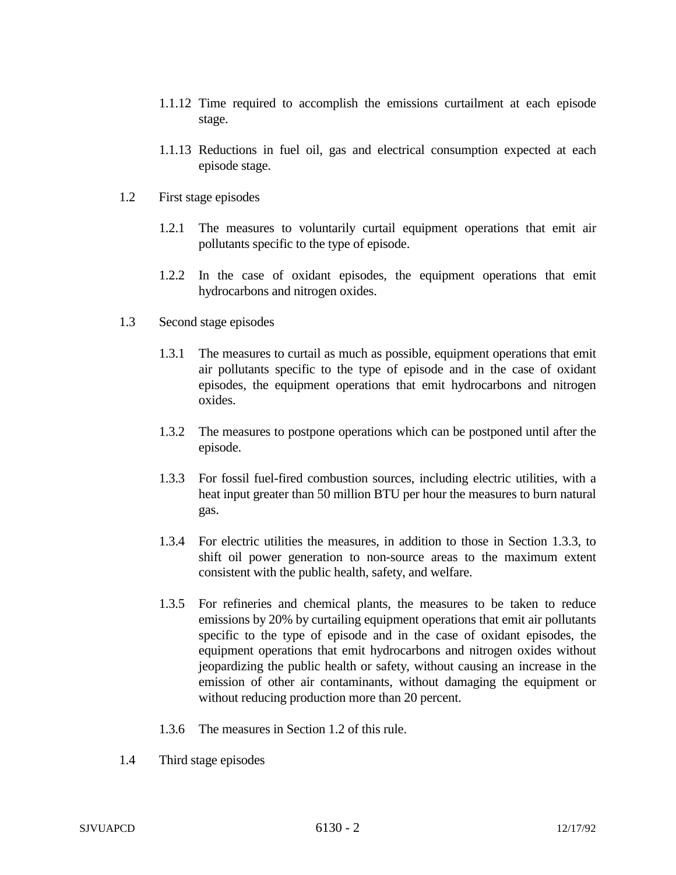- 1.1.12 Time required to accomplish the emissions curtailment at each episode stage.
- 1.1.13 Reductions in fuel oil, gas and electrical consumption expected at each episode stage.
- 1.2 First stage episodes
	- 1.2.1 The measures to voluntarily curtail equipment operations that emit air pollutants specific to the type of episode.
	- 1.2.2 In the case of oxidant episodes, the equipment operations that emit hydrocarbons and nitrogen oxides.
- 1.3 Second stage episodes
	- 1.3.1 The measures to curtail as much as possible, equipment operations that emit air pollutants specific to the type of episode and in the case of oxidant episodes, the equipment operations that emit hydrocarbons and nitrogen oxides.
	- 1.3.2 The measures to postpone operations which can be postponed until after the episode.
	- 1.3.3 For fossil fuel-fired combustion sources, including electric utilities, with a heat input greater than 50 million BTU per hour the measures to burn natural gas.
	- 1.3.4 For electric utilities the measures, in addition to those in Section 1.3.3, to shift oil power generation to non-source areas to the maximum extent consistent with the public health, safety, and welfare.
	- 1.3.5 For refineries and chemical plants, the measures to be taken to reduce emissions by 20% by curtailing equipment operations that emit air pollutants specific to the type of episode and in the case of oxidant episodes, the equipment operations that emit hydrocarbons and nitrogen oxides without jeopardizing the public health or safety, without causing an increase in the emission of other air contaminants, without damaging the equipment or without reducing production more than 20 percent.
	- 1.3.6 The measures in Section 1.2 of this rule.
- 1.4 Third stage episodes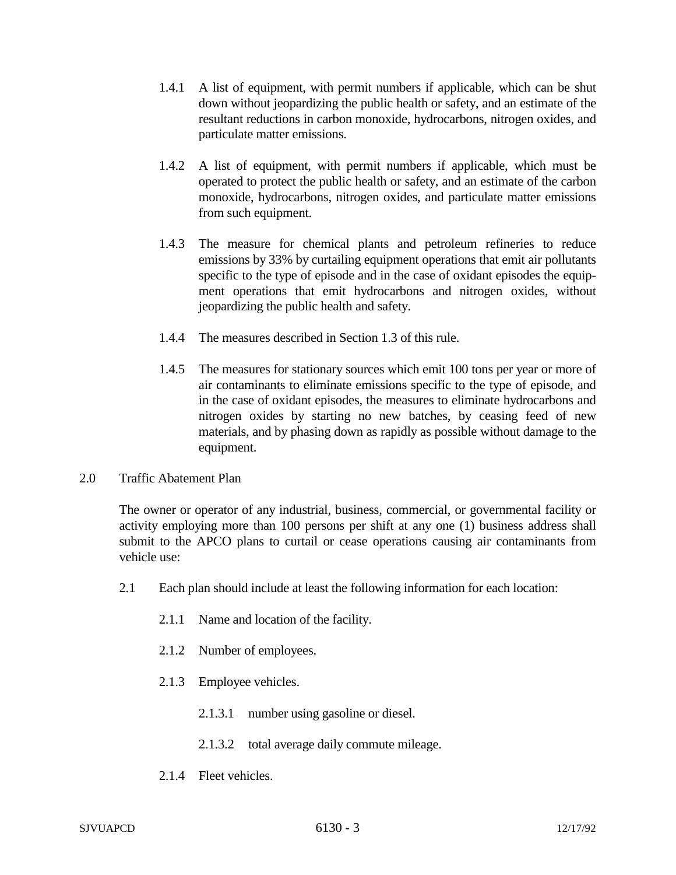- 1.4.1 A list of equipment, with permit numbers if applicable, which can be shut down without jeopardizing the public health or safety, and an estimate of the resultant reductions in carbon monoxide, hydrocarbons, nitrogen oxides, and particulate matter emissions.
- 1.4.2 A list of equipment, with permit numbers if applicable, which must be operated to protect the public health or safety, and an estimate of the carbon monoxide, hydrocarbons, nitrogen oxides, and particulate matter emissions from such equipment.
- 1.4.3 The measure for chemical plants and petroleum refineries to reduce emissions by 33% by curtailing equipment operations that emit air pollutants specific to the type of episode and in the case of oxidant episodes the equipment operations that emit hydrocarbons and nitrogen oxides, without jeopardizing the public health and safety.
- 1.4.4 The measures described in Section 1.3 of this rule.
- 1.4.5 The measures for stationary sources which emit 100 tons per year or more of air contaminants to eliminate emissions specific to the type of episode, and in the case of oxidant episodes, the measures to eliminate hydrocarbons and nitrogen oxides by starting no new batches, by ceasing feed of new materials, and by phasing down as rapidly as possible without damage to the equipment.
- 2.0 Traffic Abatement Plan

The owner or operator of any industrial, business, commercial, or governmental facility or activity employing more than 100 persons per shift at any one (1) business address shall submit to the APCO plans to curtail or cease operations causing air contaminants from vehicle use:

- 2.1 Each plan should include at least the following information for each location:
	- 2.1.1 Name and location of the facility.
	- 2.1.2 Number of employees.
	- 2.1.3 Employee vehicles.
		- 2.1.3.1 number using gasoline or diesel.
		- 2.1.3.2 total average daily commute mileage.
	- 2.1.4 Fleet vehicles.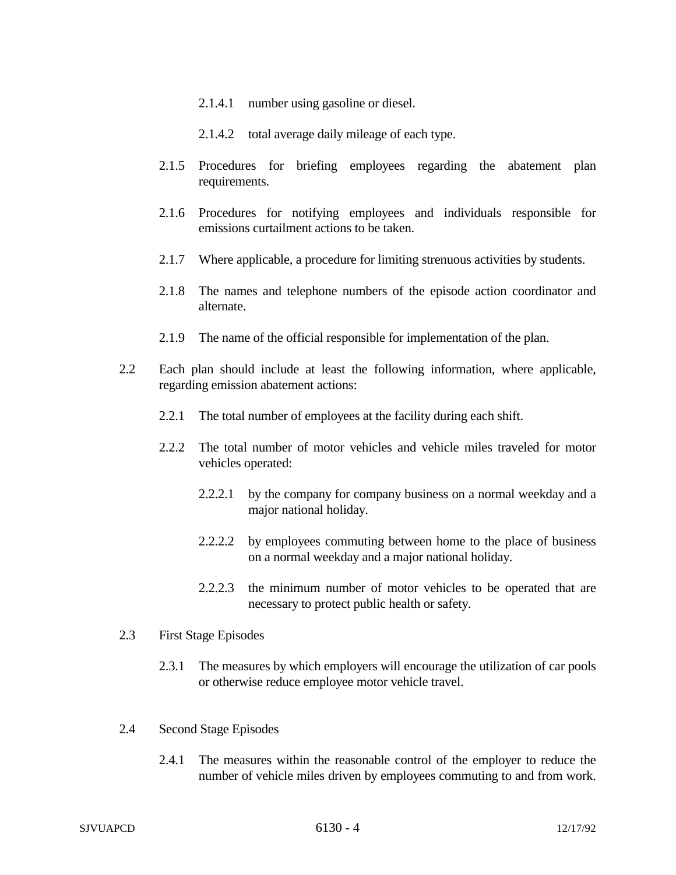- 2.1.4.1 number using gasoline or diesel.
- 2.1.4.2 total average daily mileage of each type.
- 2.1.5 Procedures for briefing employees regarding the abatement plan requirements.
- 2.1.6 Procedures for notifying employees and individuals responsible for emissions curtailment actions to be taken.
- 2.1.7 Where applicable, a procedure for limiting strenuous activities by students.
- 2.1.8 The names and telephone numbers of the episode action coordinator and alternate.
- 2.1.9 The name of the official responsible for implementation of the plan.
- 2.2 Each plan should include at least the following information, where applicable, regarding emission abatement actions:
	- 2.2.1 The total number of employees at the facility during each shift.
	- 2.2.2 The total number of motor vehicles and vehicle miles traveled for motor vehicles operated:
		- 2.2.2.1 by the company for company business on a normal weekday and a major national holiday.
		- 2.2.2.2 by employees commuting between home to the place of business on a normal weekday and a major national holiday.
		- 2.2.2.3 the minimum number of motor vehicles to be operated that are necessary to protect public health or safety.

## 2.3 First Stage Episodes

- 2.3.1 The measures by which employers will encourage the utilization of car pools or otherwise reduce employee motor vehicle travel.
- 2.4 Second Stage Episodes
	- 2.4.1 The measures within the reasonable control of the employer to reduce the number of vehicle miles driven by employees commuting to and from work.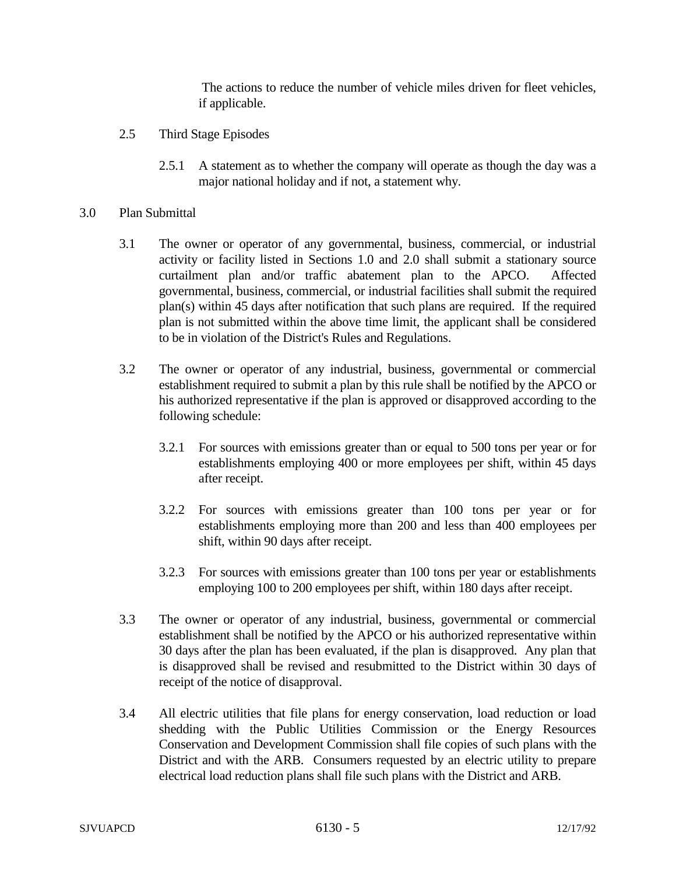The actions to reduce the number of vehicle miles driven for fleet vehicles, if applicable.

- 2.5 Third Stage Episodes
	- 2.5.1 A statement as to whether the company will operate as though the day was a major national holiday and if not, a statement why.
- 3.0 Plan Submittal
	- 3.1 The owner or operator of any governmental, business, commercial, or industrial activity or facility listed in Sections 1.0 and 2.0 shall submit a stationary source curtailment plan and/or traffic abatement plan to the APCO. Affected governmental, business, commercial, or industrial facilities shall submit the required plan(s) within 45 days after notification that such plans are required. If the required plan is not submitted within the above time limit, the applicant shall be considered to be in violation of the District's Rules and Regulations.
	- 3.2 The owner or operator of any industrial, business, governmental or commercial establishment required to submit a plan by this rule shall be notified by the APCO or his authorized representative if the plan is approved or disapproved according to the following schedule:
		- 3.2.1 For sources with emissions greater than or equal to 500 tons per year or for establishments employing 400 or more employees per shift, within 45 days after receipt.
		- 3.2.2 For sources with emissions greater than 100 tons per year or for establishments employing more than 200 and less than 400 employees per shift, within 90 days after receipt.
		- 3.2.3 For sources with emissions greater than 100 tons per year or establishments employing 100 to 200 employees per shift, within 180 days after receipt.
	- 3.3 The owner or operator of any industrial, business, governmental or commercial establishment shall be notified by the APCO or his authorized representative within 30 days after the plan has been evaluated, if the plan is disapproved. Any plan that is disapproved shall be revised and resubmitted to the District within 30 days of receipt of the notice of disapproval.
	- 3.4 All electric utilities that file plans for energy conservation, load reduction or load shedding with the Public Utilities Commission or the Energy Resources Conservation and Development Commission shall file copies of such plans with the District and with the ARB. Consumers requested by an electric utility to prepare electrical load reduction plans shall file such plans with the District and ARB.